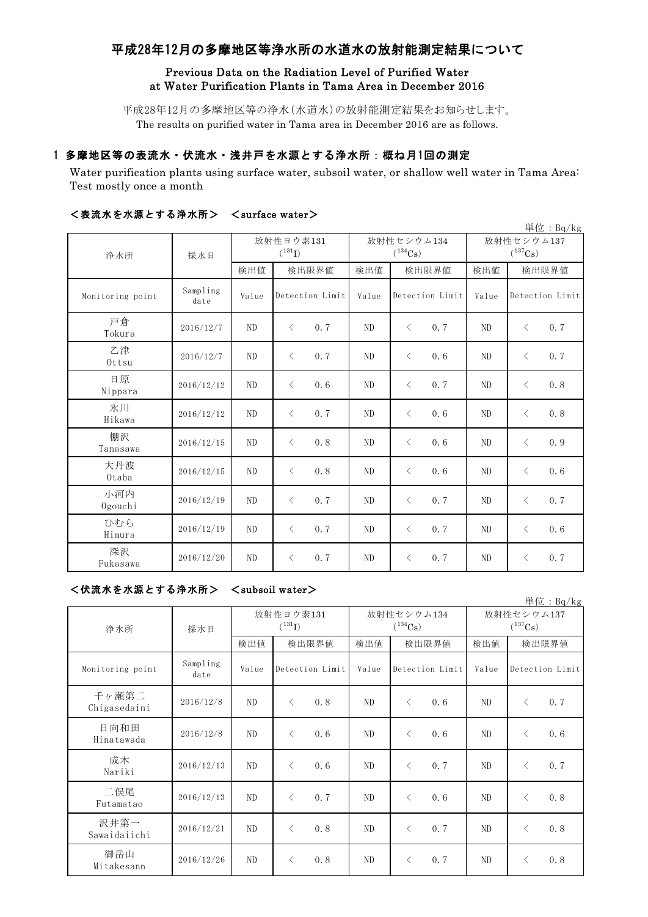# 平成28年12月の多摩地区等浄水所の水道水の放射能測定結果について

## Previous Data on the Radiation Level of Purified Water at Water Purification Plants in Tama Area in December 2016

平成28年12月の多摩地区等の浄水(水道水)の放射能測定結果をお知らせします。 The results on purified water in Tama area in December 2016 are as follows.

## 1 多摩地区等の表流水・伏流水・浅井戸を水源とする浄水所:概ね月1回の測定

Water purification plants using surface water, subsoil water, or shallow well water in Tama Area: Test mostly once a month

|                  |                  |                          |                  |                            |                  |                                     | 単位: $Bq/kg$      |
|------------------|------------------|--------------------------|------------------|----------------------------|------------------|-------------------------------------|------------------|
| 浄水所              | 採水日              | 放射性ヨウ素131<br>$(^{131}I)$ |                  | 放射性セシウム134<br>$(^{134}Cs)$ |                  | 放射性セシウム137<br>$(^{137}\mathrm{Cs})$ |                  |
|                  |                  | 検出値                      | 検出限界値            | 検出値                        | 検出限界値            | 検出値                                 | 検出限界値            |
| Monitoring point | Sampling<br>date | Value                    | Detection Limit  | Value                      | Detection Limit  | Value                               | Detection Limit  |
| 戸倉<br>Tokura     | 2016/12/7        | N <sub>D</sub>           | 0.7<br>$\langle$ | N <sub>D</sub>             | $\langle$<br>0.7 | N <sub>D</sub>                      | $\langle$<br>0.7 |
| 乙津<br>Ottsu      | 2016/12/7        | N <sub>D</sub>           | $\langle$<br>0.7 | ND                         | $\langle$<br>0.6 | ND                                  | $\langle$<br>0.7 |
| 日原<br>Nippara    | 2016/12/12       | N <sub>D</sub>           | $\langle$<br>0.6 | ND                         | $\langle$<br>0.7 | ND                                  | 0.8<br>$\langle$ |
| 氷川<br>Hikawa     | 2016/12/12       | N <sub>D</sub>           | $\langle$<br>0.7 | ND                         | $\langle$<br>0.6 | ND                                  | $\langle$<br>0.8 |
| 棚沢<br>Tanasawa   | 2016/12/15       | N <sub>D</sub>           | $\langle$<br>0.8 | ND                         | $\langle$<br>0.6 | ND                                  | 0.9<br>$\langle$ |
| 大丹波<br>Otaba     | 2016/12/15       | N <sub>D</sub>           | 0.8<br>$\langle$ | ND                         | $\langle$<br>0.6 | ND                                  | $\langle$<br>0.6 |
| 小河内<br>Ogouchi   | 2016/12/19       | N <sub>D</sub>           | 0.7<br>$\langle$ | ND                         | 0.7<br>$\langle$ | N <sub>D</sub>                      | 0.7<br>$\langle$ |
| ひむら<br>Himura    | 2016/12/19       | N <sub>D</sub>           | $\langle$<br>0.7 | ND                         | 0.7<br>$\langle$ | ND                                  | 0.6<br>$\langle$ |
| 深沢<br>Fukasawa   | 2016/12/20       | ND                       | 0.7<br>$\lt$     | ND                         | 0.7<br>$\langle$ | ND                                  | 0.7<br>$\langle$ |

### <表流水を水源とする浄水所> <surface water>

| <伏流水を水源とする浄水所> | $\langle$ subsoil water $\rangle$ |
|----------------|-----------------------------------|
|----------------|-----------------------------------|

| 単位: Bq/kg             |                  |                                   |                  |                            |                  |                            |                  |  |
|-----------------------|------------------|-----------------------------------|------------------|----------------------------|------------------|----------------------------|------------------|--|
| 浄水所                   | 採水日              | 放射性ヨウ素131<br>$({}^{131}\text{I})$ |                  | 放射性セシウム134<br>$(^{134}Cs)$ |                  | 放射性セシウム137<br>$(^{137}Cs)$ |                  |  |
|                       |                  | 検出値                               | 検出限界値            | 検出値                        | 検出限界値            | 検出値                        | 検出限界値            |  |
| Monitoring point      | Sampling<br>date | Value                             | Detection Limit  | Value                      | Detection Limit  | Value                      | Detection Limit  |  |
| 千ヶ瀬第二<br>Chigasedaini | 2016/12/8        | ND                                | 0.8<br>$\langle$ | ND                         | $\langle$<br>0.6 | ND                         | $\langle$<br>0.7 |  |
| 日向和田<br>Hinatawada    | 2016/12/8        | ND                                | 0.6<br>$\lt$     | ND                         | $\langle$<br>0.6 | ND                         | 0.6<br>$\langle$ |  |
| 成木<br>Nariki          | 2016/12/13       | N <sub>D</sub>                    | 0.6<br>$\langle$ | ND                         | $\lt$<br>0.7     | ND                         | $\langle$<br>0.7 |  |
| 二俣尾<br>Futamatao      | 2016/12/13       | ND                                | 0.7<br>$\langle$ | ND                         | $\langle$<br>0.6 | ND.                        | 0.8<br>$\langle$ |  |
| 沢井第一<br>Sawaidaiichi  | 2016/12/21       | ND                                | $\langle$<br>0.8 | ND                         | $\langle$<br>0.7 | ND                         | $\langle$<br>0.8 |  |
| 御岳山<br>Mitakesann     | 2016/12/26       | ND                                | 0.8<br>$\langle$ | ND                         | 0.7<br>$\langle$ | ND                         | 0.8<br>$\langle$ |  |